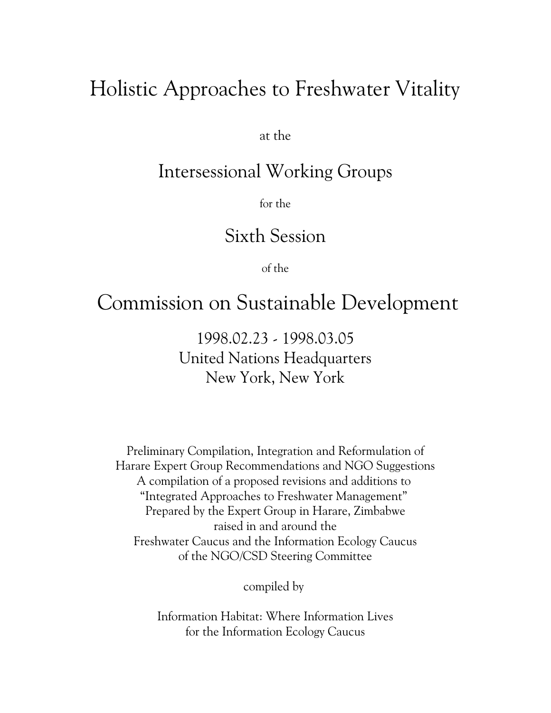# Holistic Approaches to Freshwater Vitality

at the

# Intersessional Working Groups

for the

# Sixth Session

of the

# Commission on Sustainable Development

1998.02.23 - 1998.03.05 United Nations Headquarters New York, New York

Preliminary Compilation, Integration and Reformulation of Harare Expert Group Recommendations and NGO Suggestions A compilation of a proposed revisions and additions to "Integrated Approaches to Freshwater Management" Prepared by the Expert Group in Harare, Zimbabwe raised in and around the Freshwater Caucus and the Information Ecology Caucus of the NGO/CSD Steering Committee

compiled by

Information Habitat: Where Information Lives for the Information Ecology Caucus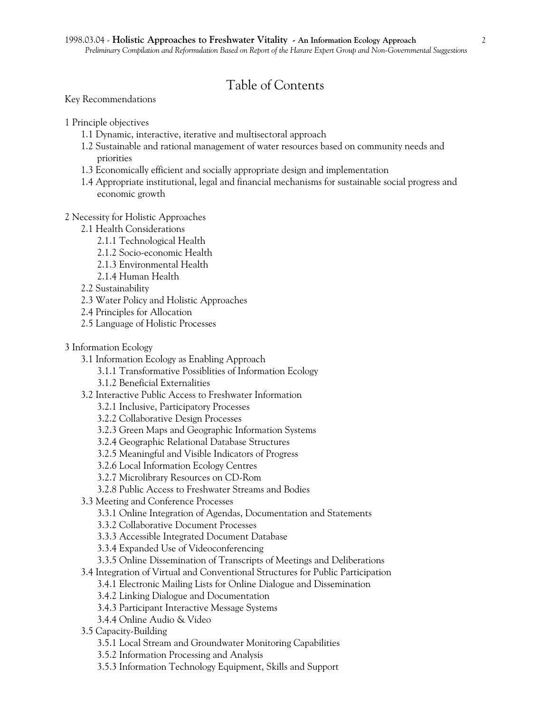# Table of Contents

Key Recommendations

1 Principle objectives

- 1.1 Dynamic, interactive, iterative and multisectoral approach
- 1.2 Sustainable and rational management of water resources based on community needs and priorities
- 1.3 Economically efficient and socially appropriate design and implementation
- 1.4 Appropriate institutional, legal and financial mechanisms for sustainable social progress and economic growth

# 2 Necessity for Holistic Approaches

- 2.1 Health Considerations
	- 2.1.1 Technological Health
	- 2.1.2 Socio-economic Health
	- 2.1.3 Environmental Health
	- 2.1.4 Human Health
- 2.2 Sustainability
- 2.3 Water Policy and Holistic Approaches
- 2.4 Principles for Allocation
- 2.5 Language of Holistic Processes
- 3 Information Ecology
	- 3.1 Information Ecology as Enabling Approach
		- 3.1.1 Transformative Possiblities of Information Ecology
		- 3.1.2 Beneficial Externalities
	- 3.2 Interactive Public Access to Freshwater Information
		- 3.2.1 Inclusive, Participatory Processes
		- 3.2.2 Collaborative Design Processes
		- 3.2.3 Green Maps and Geographic Information Systems
		- 3.2.4 Geographic Relational Database Structures
		- 3.2.5 Meaningful and Visible Indicators of Progress
		- 3.2.6 Local Information Ecology Centres
		- 3.2.7 Microlibrary Resources on CD-Rom
		- 3.2.8 Public Access to Freshwater Streams and Bodies
	- 3.3 Meeting and Conference Processes
		- 3.3.1 Online Integration of Agendas, Documentation and Statements
		- 3.3.2 Collaborative Document Processes
		- 3.3.3 Accessible Integrated Document Database
		- 3.3.4 Expanded Use of Videoconferencing
		- 3.3.5 Online Dissemination of Transcripts of Meetings and Deliberations
	- 3.4 Integration of Virtual and Conventional Structures for Public Participation
		- 3.4.1 Electronic Mailing Lists for Online Dialogue and Dissemination
		- 3.4.2 Linking Dialogue and Documentation
		- 3.4.3 Participant Interactive Message Systems
		- 3.4.4 Online Audio & Video
	- 3.5 Capacity-Building
		- 3.5.1 Local Stream and Groundwater Monitoring Capabilities
		- 3.5.2 Information Processing and Analysis
		- 3.5.3 Information Technology Equipment, Skills and Support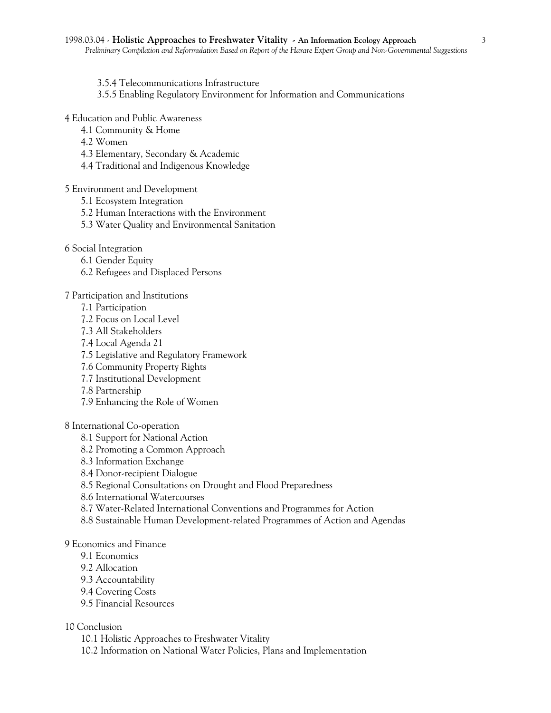- 3.5.4 Telecommunications Infrastructure
- 3.5.5 Enabling Regulatory Environment for Information and Communications
- 4 Education and Public Awareness
	- 4.1 Community & Home
	- 4.2 Women
	- 4.3 Elementary, Secondary & Academic
	- 4.4 Traditional and Indigenous Knowledge

#### 5 Environment and Development

- 5.1 Ecosystem Integration
- 5.2 Human Interactions with the Environment
- 5.3 Water Quality and Environmental Sanitation
- 6 Social Integration
	- 6.1 Gender Equity
	- 6.2 Refugees and Displaced Persons

#### 7 Participation and Institutions

- 7.1 Participation
- 7.2 Focus on Local Level
- 7.3 All Stakeholders
- 7.4 Local Agenda 21
- 7.5 Legislative and Regulatory Framework
- 7.6 Community Property Rights
- 7.7 Institutional Development
- 7.8 Partnership
- 7.9 Enhancing the Role of Women

# 8 International Co-operation

- 8.1 Support for National Action
- 8.2 Promoting a Common Approach
- 8.3 Information Exchange
- 8.4 Donor-recipient Dialogue
- 8.5 Regional Consultations on Drought and Flood Preparedness
- 8.6 International Watercourses
- 8.7 Water-Related International Conventions and Programmes for Action
- 8.8 Sustainable Human Development-related Programmes of Action and Agendas

## 9 Economics and Finance

- 9.1 Economics
- 9.2 Allocation
- 9.3 Accountability
- 9.4 Covering Costs
- 9.5 Financial Resources

# 10 Conclusion

- 10.1 Holistic Approaches to Freshwater Vitality
- 10.2 Information on National Water Policies, Plans and Implementation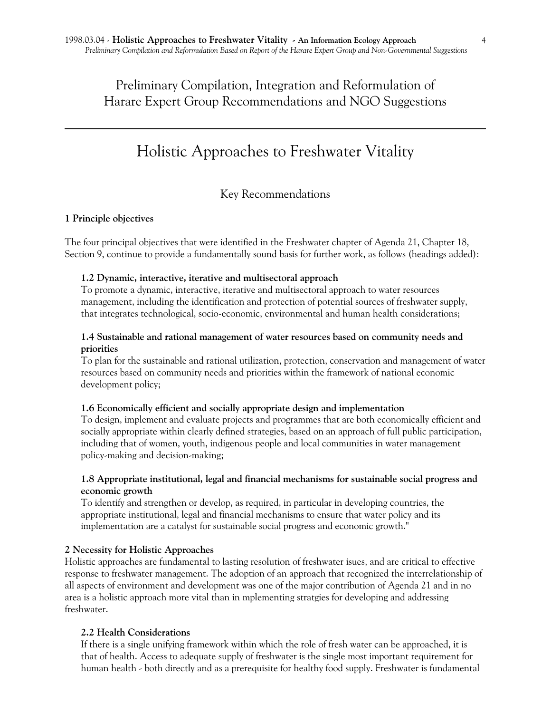Preliminary Compilation, Integration and Reformulation of Harare Expert Group Recommendations and NGO Suggestions

# Holistic Approaches to Freshwater Vitality

# Key Recommendations

#### **1 Principle objectives**

The four principal objectives that were identified in the Freshwater chapter of Agenda 21, Chapter 18, Section 9, continue to provide a fundamentally sound basis for further work, as follows (headings added):

#### **1.2 Dynamic, interactive, iterative and multisectoral approach**

To promote a dynamic, interactive, iterative and multisectoral approach to water resources management, including the identification and protection of potential sources of freshwater supply, that integrates technological, socio-economic, environmental and human health considerations;

## **1.4 Sustainable and rational management of water resources based on community needs and priorities**

To plan for the sustainable and rational utilization, protection, conservation and management of water resources based on community needs and priorities within the framework of national economic development policy;

#### **1.6 Economically efficient and socially appropriate design and implementation**

To design, implement and evaluate projects and programmes that are both economically efficient and socially appropriate within clearly defined strategies, based on an approach of full public participation, including that of women, youth, indigenous people and local communities in water management policy-making and decision-making;

### **1.8 Appropriate institutional, legal and financial mechanisms for sustainable social progress and economic growth**

To identify and strengthen or develop, as required, in particular in developing countries, the appropriate institutional, legal and financial mechanisms to ensure that water policy and its implementation are a catalyst for sustainable social progress and economic growth."

#### **2 Necessity for Holistic Approaches**

Holistic approaches are fundamental to lasting resolution of freshwater isues, and are critical to effective response to freshwater management. The adoption of an approach that recognized the interrelationship of all aspects of environment and development was one of the major contribution of Agenda 21 and in no area is a holistic approach more vital than in mplementing stratgies for developing and addressing freshwater.

#### **2.2 Health Considerations**

If there is a single unifying framework within which the role of fresh water can be approached, it is that of health. Access to adequate supply of freshwater is the single most important requirement for human health - both directly and as a prerequisite for healthy food supply. Freshwater is fundamental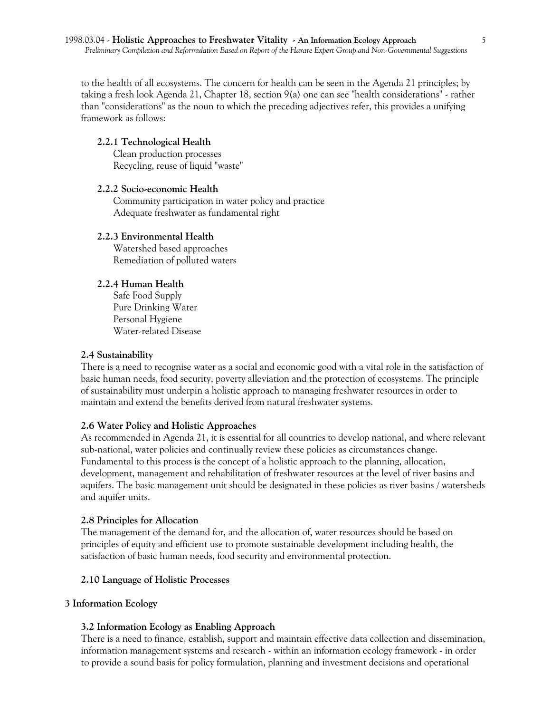to the health of all ecosystems. The concern for health can be seen in the Agenda 21 principles; by taking a fresh look Agenda 21, Chapter 18, section 9(a) one can see "health considerations" - rather than "considerations" as the noun to which the preceding adjectives refer, this provides a unifying framework as follows:

### **2.2.1 Technological Health**

Clean production processes Recycling, reuse of liquid "waste"

### **2.2.2 Socio-economic Health**

Community participation in water policy and practice Adequate freshwater as fundamental right

### **2.2.3 Environmental Health**

Watershed based approaches Remediation of polluted waters

# **2.2.4 Human Health**

Safe Food Supply Pure Drinking Water Personal Hygiene Water-related Disease

#### **2.4 Sustainability**

There is a need to recognise water as a social and economic good with a vital role in the satisfaction of basic human needs, food security, poverty alleviation and the protection of ecosystems. The principle of sustainability must underpin a holistic approach to managing freshwater resources in order to maintain and extend the benefits derived from natural freshwater systems.

# **2.6 Water Policy and Holistic Approaches**

As recommended in Agenda 21, it is essential for all countries to develop national, and where relevant sub-national, water policies and continually review these policies as circumstances change. Fundamental to this process is the concept of a holistic approach to the planning, allocation, development, management and rehabilitation of freshwater resources at the level of river basins and aquifers. The basic management unit should be designated in these policies as river basins / watersheds and aquifer units.

#### **2.8 Principles for Allocation**

The management of the demand for, and the allocation of, water resources should be based on principles of equity and efficient use to promote sustainable development including health, the satisfaction of basic human needs, food security and environmental protection.

#### **2.10 Language of Holistic Processes**

#### **3 Information Ecology**

#### **3.2 Information Ecology as Enabling Approach**

There is a need to finance, establish, support and maintain effective data collection and dissemination, information management systems and research - within an information ecology framework - in order to provide a sound basis for policy formulation, planning and investment decisions and operational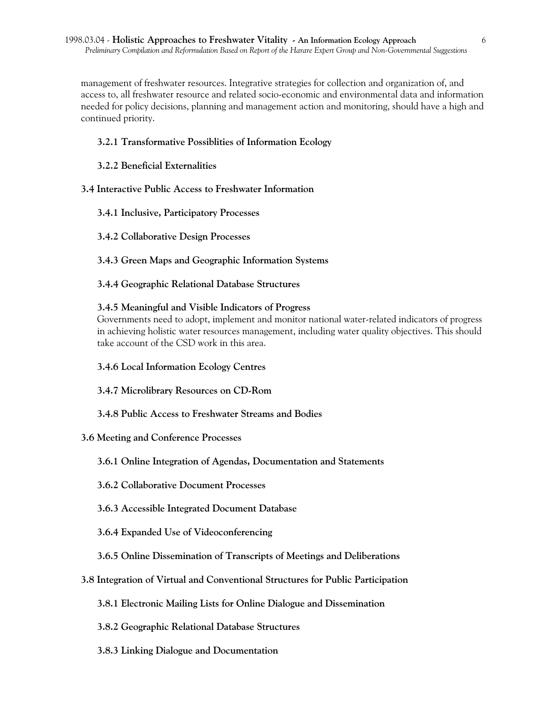management of freshwater resources. Integrative strategies for collection and organization of, and access to, all freshwater resource and related socio-economic and environmental data and information needed for policy decisions, planning and management action and monitoring, should have a high and continued priority.

# **3.2.1 Transformative Possiblities of Information Ecology**

# **3.2.2 Beneficial Externalities**

# **3.4 Interactive Public Access to Freshwater Information**

- **3.4.1 Inclusive, Participatory Processes**
- **3.4.2 Collaborative Design Processes**
- **3.4.3 Green Maps and Geographic Information Systems**
- **3.4.4 Geographic Relational Database Structures**

# **3.4.5 Meaningful and Visible Indicators of Progress**

Governments need to adopt, implement and monitor national water-related indicators of progress in achieving holistic water resources management, including water quality objectives. This should take account of the CSD work in this area.

- **3.4.6 Local Information Ecology Centres**
- **3.4.7 Microlibrary Resources on CD-Rom**
- **3.4.8 Public Access to Freshwater Streams and Bodies**

# **3.6 Meeting and Conference Processes**

- **3.6.1 Online Integration of Agendas, Documentation and Statements**
- **3.6.2 Collaborative Document Processes**
- **3.6.3 Accessible Integrated Document Database**
- **3.6.4 Expanded Use of Videoconferencing**

# **3.6.5 Online Dissemination of Transcripts of Meetings and Deliberations**

- **3.8 Integration of Virtual and Conventional Structures for Public Participation**
	- **3.8.1 Electronic Mailing Lists for Online Dialogue and Dissemination**
	- **3.8.2 Geographic Relational Database Structures**
	- **3.8.3 Linking Dialogue and Documentation**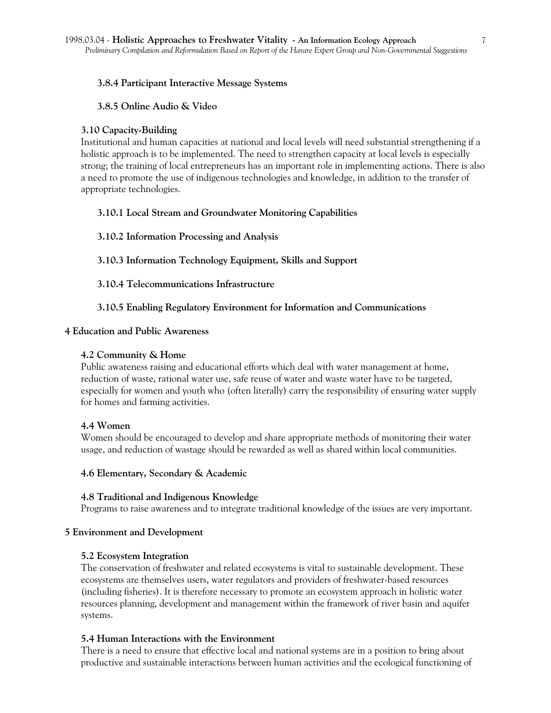## **3.8.4 Participant Interactive Message Systems**

### **3.8.5 Online Audio & Video**

### **3.10 Capacity-Building**

Institutional and human capacities at national and local levels will need substantial strengthening if a holistic approach is to be implemented. The need to strengthen capacity at local levels is especially strong; the training of local entrepreneurs has an important role in implementing actions. There is also a need to promote the use of indigenous technologies and knowledge, in addition to the transfer of appropriate technologies.

# **3.10.1 Local Stream and Groundwater Monitoring Capabilities**

### **3.10.2 Information Processing and Analysis**

**3.10.3 Information Technology Equipment, Skills and Support**

**3.10.4 Telecommunications Infrastructure**

# **3.10.5 Enabling Regulatory Environment for Information and Communications**

#### **4 Education and Public Awareness**

### **4.2 Community & Home**

Public awareness raising and educational efforts which deal with water management at home, reduction of waste, rational water use, safe reuse of water and waste water have to be targeted, especially for women and youth who (often literally) carry the responsibility of ensuring water supply for homes and farming activities.

#### **4.4 Women**

Women should be encouraged to develop and share appropriate methods of monitoring their water usage, and reduction of wastage should be rewarded as well as shared within local communities.

#### **4.6 Elementary, Secondary & Academic**

#### **4.8 Traditional and Indigenous Knowledge**

Programs to raise awareness and to integrate traditional knowledge of the issues are very important.

#### **5 Environment and Development**

#### **5.2 Ecosystem Integration**

The conservation of freshwater and related ecosystems is vital to sustainable development. These ecosystems are themselves users, water regulators and providers of freshwater-based resources (including fisheries). It is therefore necessary to promote an ecosystem approach in holistic water resources planning, development and management within the framework of river basin and aquifer systems.

#### **5.4 Human Interactions with the Environment**

There is a need to ensure that effective local and national systems are in a position to bring about productive and sustainable interactions between human activities and the ecological functioning of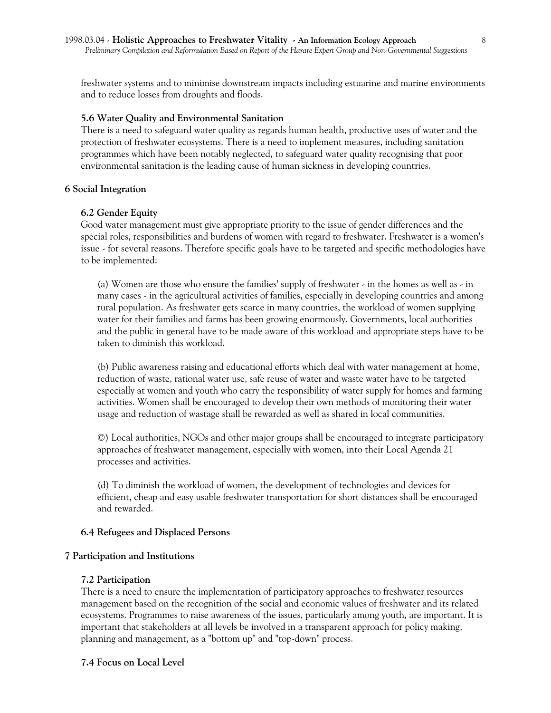freshwater systems and to minimise downstream impacts including estuarine and marine environments and to reduce losses from droughts and floods.

#### **5.6 Water Quality and Environmental Sanitation**

There is a need to safeguard water quality as regards human health, productive uses of water and the protection of freshwater ecosystems. There is a need to implement measures, including sanitation programmes which have been notably neglected, to safeguard water quality recognising that poor environmental sanitation is the leading cause of human sickness in developing countries.

#### **6 Social Integration**

#### **6.2 Gender Equity**

Good water management must give appropriate priority to the issue of gender differences and the special roles, responsibilities and burdens of women with regard to freshwater. Freshwater is a women's issue - for several reasons. Therefore specific goals have to be targeted and specific methodologies have to be implemented:

(a) Women are those who ensure the families' supply of freshwater - in the homes as well as - in many cases - in the agricultural activities of families, especially in developing countries and among rural population. As freshwater gets scarce in many countries, the workload of women supplying water for their families and farms has been growing enormously. Governments, local authorities and the public in general have to be made aware of this workload and appropriate steps have to be taken to diminish this workload.

(b) Public awareness raising and educational efforts which deal with water management at home, reduction of waste, rational water use, safe reuse of water and waste water have to be targeted especially at women and youth who carry the responsibility of water supply for homes and farming activities. Women shall be encouraged to develop their own methods of monitoring their water usage and reduction of wastage shall be rewarded as well as shared in local communities.

©) Local authorities, NGOs and other major groups shall be encouraged to integrate participatory approaches of freshwater management, especially with women, into their Local Agenda 21 processes and activities.

(d) To diminish the workload of women, the development of technologies and devices for efficient, cheap and easy usable freshwater transportation for short distances shall be encouraged and rewarded.

#### **6.4 Refugees and Displaced Persons**

#### **7 Participation and Institutions**

#### **7.2 Participation**

There is a need to ensure the implementation of participatory approaches to freshwater resources management based on the recognition of the social and economic values of freshwater and its related ecosystems. Programmes to raise awareness of the issues, particularly among youth, are important. It is important that stakeholders at all levels be involved in a transparent approach for policy making, planning and management, as a "bottom up" and "top-down" process.

#### **7.4 Focus on Local Level**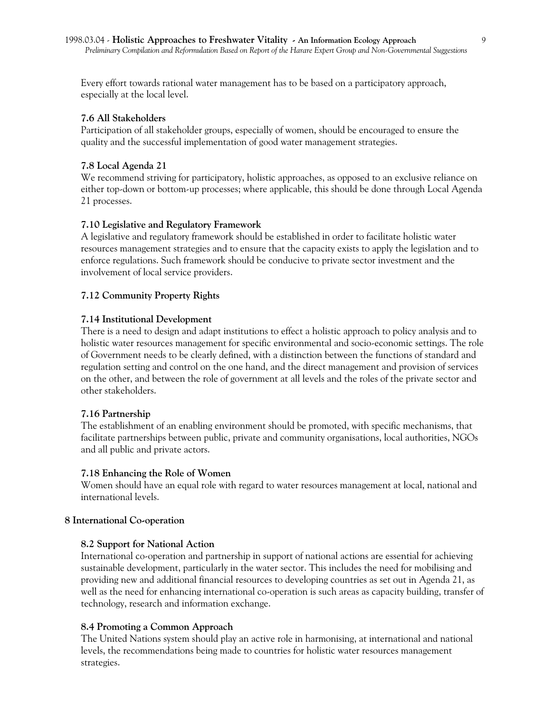Every effort towards rational water management has to be based on a participatory approach, especially at the local level.

## **7.6 All Stakeholders**

Participation of all stakeholder groups, especially of women, should be encouraged to ensure the quality and the successful implementation of good water management strategies.

#### **7.8 Local Agenda 21**

We recommend striving for participatory, holistic approaches, as opposed to an exclusive reliance on either top-down or bottom-up processes; where applicable, this should be done through Local Agenda 21 processes.

#### **7.10 Legislative and Regulatory Framework**

A legislative and regulatory framework should be established in order to facilitate holistic water resources management strategies and to ensure that the capacity exists to apply the legislation and to enforce regulations. Such framework should be conducive to private sector investment and the involvement of local service providers.

#### **7.12 Community Property Rights**

#### **7.14 Institutional Development**

There is a need to design and adapt institutions to effect a holistic approach to policy analysis and to holistic water resources management for specific environmental and socio-economic settings. The role of Government needs to be clearly defined, with a distinction between the functions of standard and regulation setting and control on the one hand, and the direct management and provision of services on the other, and between the role of government at all levels and the roles of the private sector and other stakeholders.

#### **7.16 Partnership**

The establishment of an enabling environment should be promoted, with specific mechanisms, that facilitate partnerships between public, private and community organisations, local authorities, NGOs and all public and private actors.

#### **7.18 Enhancing the Role of Women**

Women should have an equal role with regard to water resources management at local, national and international levels.

#### **8 International Co-operation**

#### **8.2 Support for National Action**

International co-operation and partnership in support of national actions are essential for achieving sustainable development, particularly in the water sector. This includes the need for mobilising and providing new and additional financial resources to developing countries as set out in Agenda 21, as well as the need for enhancing international co-operation is such areas as capacity building, transfer of technology, research and information exchange.

#### **8.4 Promoting a Common Approach**

The United Nations system should play an active role in harmonising, at international and national levels, the recommendations being made to countries for holistic water resources management strategies.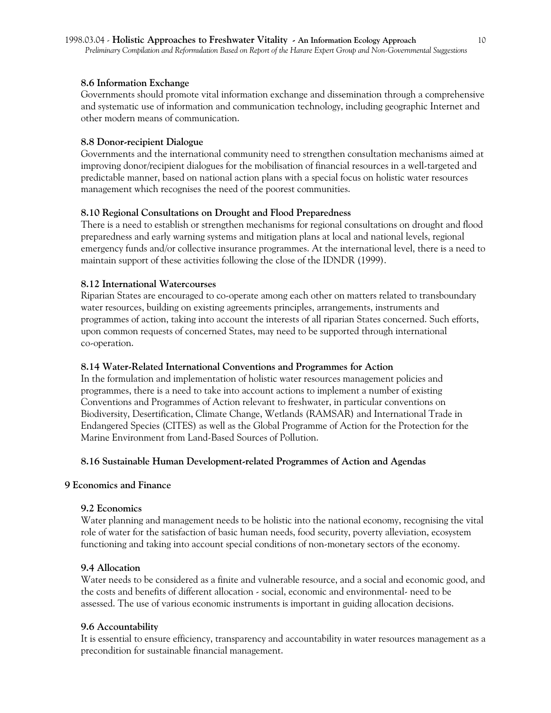#### **8.6 Information Exchange**

Governments should promote vital information exchange and dissemination through a comprehensive and systematic use of information and communication technology, including geographic Internet and other modern means of communication.

### **8.8 Donor-recipient Dialogue**

Governments and the international community need to strengthen consultation mechanisms aimed at improving donor/recipient dialogues for the mobilisation of financial resources in a well-targeted and predictable manner, based on national action plans with a special focus on holistic water resources management which recognises the need of the poorest communities.

# **8.10 Regional Consultations on Drought and Flood Preparedness**

There is a need to establish or strengthen mechanisms for regional consultations on drought and flood preparedness and early warning systems and mitigation plans at local and national levels, regional emergency funds and/or collective insurance programmes. At the international level, there is a need to maintain support of these activities following the close of the IDNDR (1999).

### **8.12 International Watercourses**

Riparian States are encouraged to co-operate among each other on matters related to transboundary water resources, building on existing agreements principles, arrangements, instruments and programmes of action, taking into account the interests of all riparian States concerned. Such efforts, upon common requests of concerned States, may need to be supported through international co-operation.

# **8.14 Water-Related International Conventions and Programmes for Action**

In the formulation and implementation of holistic water resources management policies and programmes, there is a need to take into account actions to implement a number of existing Conventions and Programmes of Action relevant to freshwater, in particular conventions on Biodiversity, Desertification, Climate Change, Wetlands (RAMSAR) and International Trade in Endangered Species (CITES) as well as the Global Programme of Action for the Protection for the Marine Environment from Land-Based Sources of Pollution.

#### **8.16 Sustainable Human Development-related Programmes of Action and Agendas**

# **9 Economics and Finance**

#### **9.2 Economics**

Water planning and management needs to be holistic into the national economy, recognising the vital role of water for the satisfaction of basic human needs, food security, poverty alleviation, ecosystem functioning and taking into account special conditions of non-monetary sectors of the economy.

#### **9.4 Allocation**

Water needs to be considered as a finite and vulnerable resource, and a social and economic good, and the costs and benefits of different allocation - social, economic and environmental- need to be assessed. The use of various economic instruments is important in guiding allocation decisions.

# **9.6 Accountability**

It is essential to ensure efficiency, transparency and accountability in water resources management as a precondition for sustainable financial management.